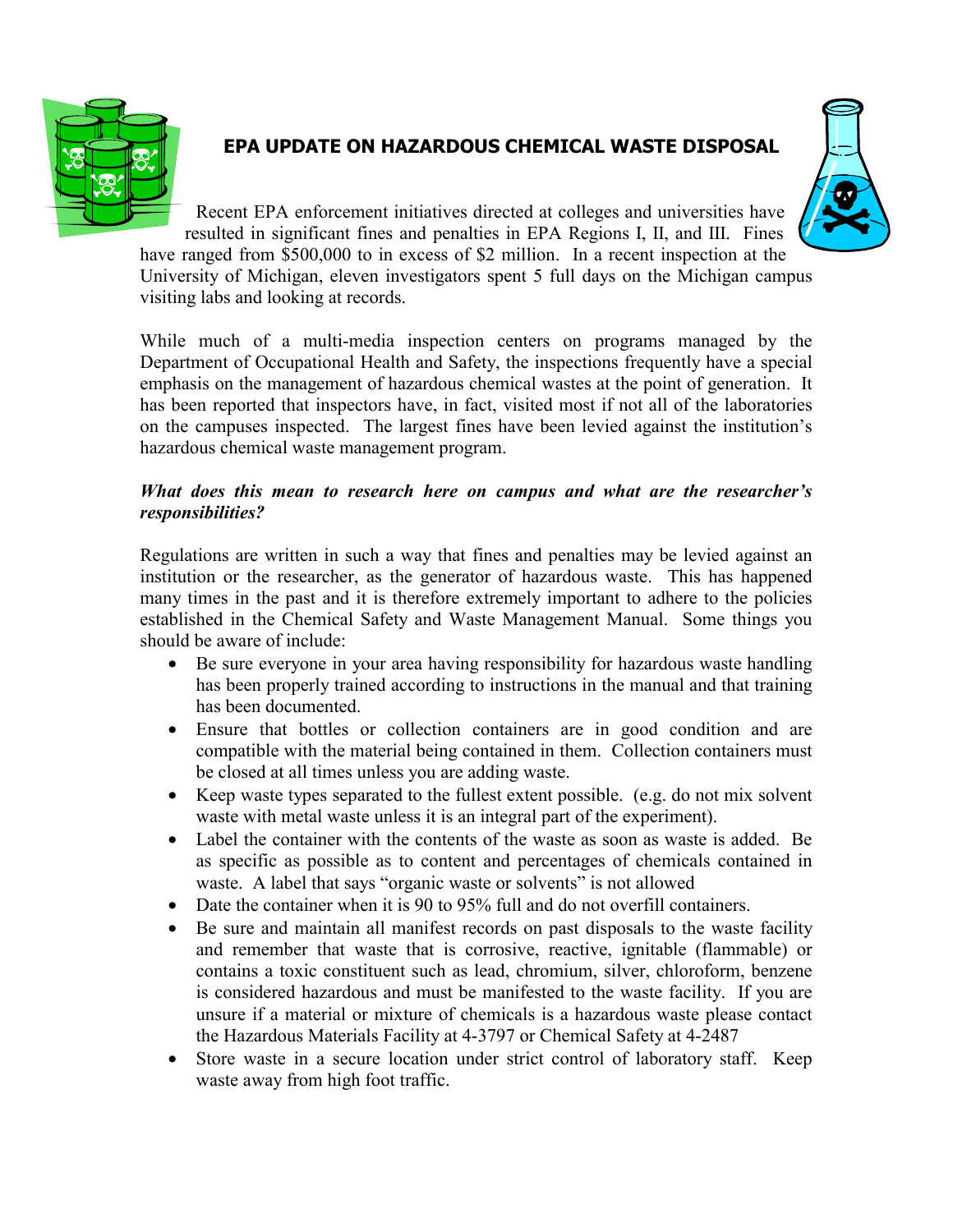

## **EPA UPDATE ON HAZARDOUS CHEMICAL WASTE DISPOSAL**

Recent EPA enforcement initiatives directed at colleges and universities have resulted in significant fines and penalties in EPA Regions I, II, and III. Fines have ranged from \$500,000 to in excess of \$2 million. In a recent inspection at the University of Michigan, eleven investigators spent 5 full days on the Michigan campus visiting labs and looking at records.

While much of a multi-media inspection centers on programs managed by the Department of Occupational Health and Safety, the inspections frequently have a special emphasis on the management of hazardous chemical wastes at the point of generation. It has been reported that inspectors have, in fact, visited most if not all of the laboratories on the campuses inspected. The largest fines have been levied against the institution's hazardous chemical waste management program.

## *What does this mean to research here on campus and what are the researcher's responsibilities?*

Regulations are written in such a way that fines and penalties may be levied against an institution or the researcher, as the generator of hazardous waste. This has happened many times in the past and it is therefore extremely important to adhere to the policies established in the Chemical Safety and Waste Management Manual. Some things you should be aware of include:

- Be sure everyone in your area having responsibility for hazardous waste handling has been properly trained according to instructions in the manual and that training has been documented.
- Ensure that bottles or collection containers are in good condition and are compatible with the material being contained in them. Collection containers must be closed at all times unless you are adding waste.
- Keep waste types separated to the fullest extent possible. (e.g. do not mix solvent waste with metal waste unless it is an integral part of the experiment).
- Label the container with the contents of the waste as soon as waste is added. Be as specific as possible as to content and percentages of chemicals contained in waste. A label that says "organic waste or solvents" is not allowed
- Date the container when it is 90 to 95% full and do not overfill containers.
- Be sure and maintain all manifest records on past disposals to the waste facility and remember that waste that is corrosive, reactive, ignitable (flammable) or contains a toxic constituent such as lead, chromium, silver, chloroform, benzene is considered hazardous and must be manifested to the waste facility. If you are unsure if a material or mixture of chemicals is a hazardous waste please contact the Hazardous Materials Facility at 4-3797 or Chemical Safety at 4-2487
- Store waste in a secure location under strict control of laboratory staff. Keep waste away from high foot traffic.